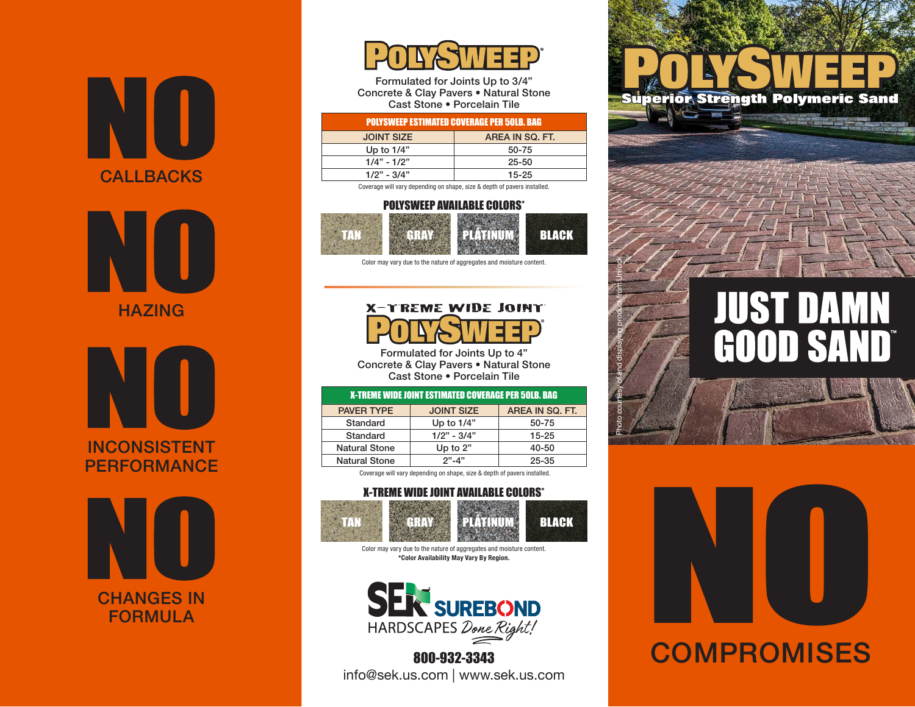



**HAZING** 







Formulated for Joints Up to 3/4" Concrete & Clay Pavers • Natural Stone Cast Stone • Porcelain Tile

#### POLYSWEEP ESTIMATED COVERAGE PER 50LB. BAG

| <b>JOINT SIZE</b> | AREA IN SQ. FT. |
|-------------------|-----------------|
| Up to $1/4$ "     | 50-75           |
| $1/4" - 1/2"$     | $25 - 50$       |
| $1/2" - 3/4"$     | $15 - 25$       |

Coverage will vary depending on shape, size & depth of pavers installed.

#### POLYSWEEP AVAILABLE COLORS\*



Color may vary due to the nature of aggregates and moisture content.

### X-TREME WIDE JOINT



Photo courtesy of and displaying product from Unilock.

Formulated for Joints Up to 4" Concrete & Clay Pavers • Natural Stone Cast Stone • Porcelain Tile

| <b>X-TREME WIDE JOINT ESTIMATED COVERAGE PER 50LB. BAG</b> |                      |                   |                 |
|------------------------------------------------------------|----------------------|-------------------|-----------------|
|                                                            | <b>PAVER TYPE</b>    | <b>JOINT SIZE</b> | AREA IN SQ. FT. |
|                                                            | Standard             | Up to $1/4$ "     | 50-75           |
|                                                            | Standard             | $1/2" - 3/4"$     | $15 - 25$       |
|                                                            | <b>Natural Stone</b> | Up to $2"$        | 40-50           |
|                                                            | <b>Natural Stone</b> | $2" - 4"$         | $25 - 35$       |
|                                                            |                      |                   |                 |

Coverage will vary depending on shape, size & depth of pavers installed.

#### X-TREME WIDE JOINT AVAILABLE COLORS\*



Color may vary due to the nature of aggregates and moisture content. **\*Color Availability May Vary By Region.**



800-932-3343 info@sek.us.com | www.sek.us.com



# **JUST DAMN** GOOD